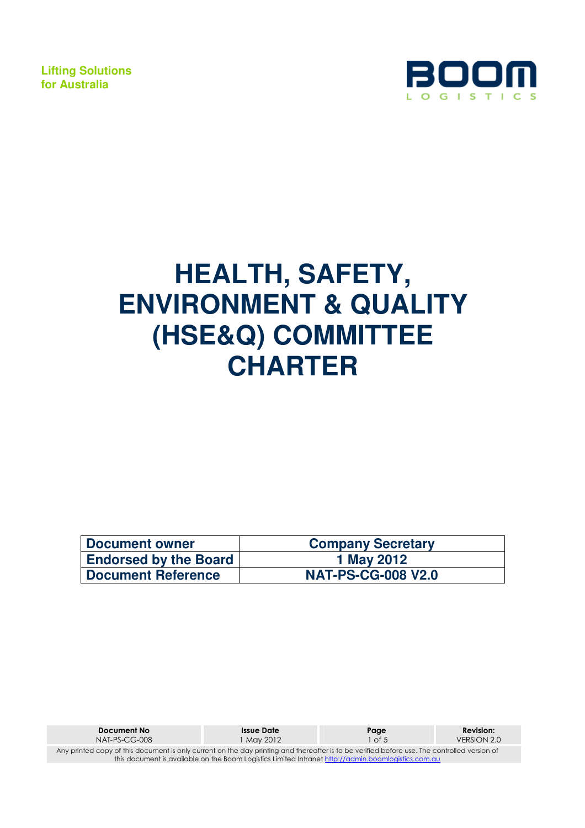

# **HEALTH, SAFETY, ENVIRONMENT & QUALITY (HSE&Q) COMMITTEE CHARTER**

| <b>Document owner</b>        | <b>Company Secretary</b>  |
|------------------------------|---------------------------|
| <b>Endorsed by the Board</b> | 1 May 2012                |
| <b>Document Reference</b>    | <b>NAT-PS-CG-008 V2.0</b> |

| Document No                                                                                                                                  | <b>Issue Date</b> | Page   | <b>Revision:</b> |  |  |
|----------------------------------------------------------------------------------------------------------------------------------------------|-------------------|--------|------------------|--|--|
| $NAT-PS-CG-008$                                                                                                                              | 1 Mav 2012        | 1 of 5 | VERSION 2.0      |  |  |
| Any printed copy of this document is only current on the day printing and thereafter is to be verified before use. The controlled version of |                   |        |                  |  |  |
| this document is available on the Boom Logistics Limited Intranet http://admin.boomlogistics.com.au                                          |                   |        |                  |  |  |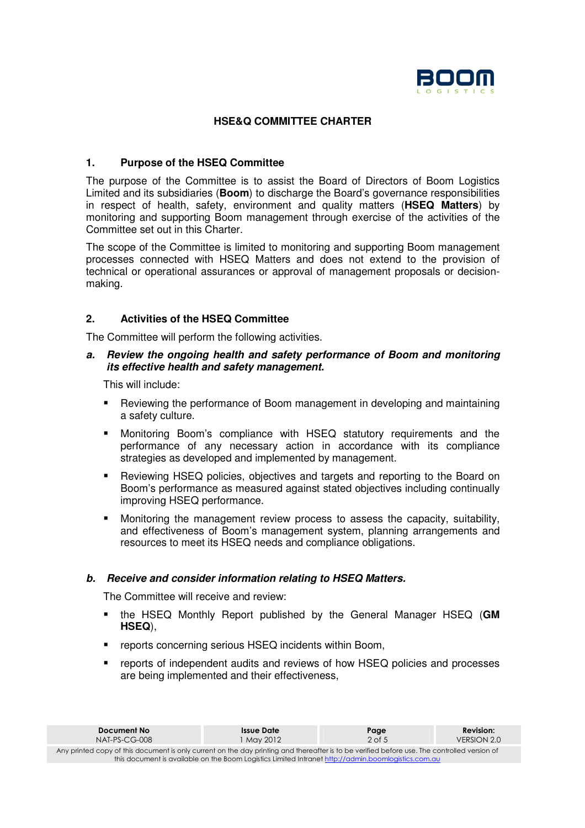

# **HSE&Q COMMITTEE CHARTER**

# **1. Purpose of the HSEQ Committee**

The purpose of the Committee is to assist the Board of Directors of Boom Logistics Limited and its subsidiaries (**Boom**) to discharge the Board's governance responsibilities in respect of health, safety, environment and quality matters (**HSEQ Matters**) by monitoring and supporting Boom management through exercise of the activities of the Committee set out in this Charter.

The scope of the Committee is limited to monitoring and supporting Boom management processes connected with HSEQ Matters and does not extend to the provision of technical or operational assurances or approval of management proposals or decisionmaking.

# **2. Activities of the HSEQ Committee**

The Committee will perform the following activities.

# **a. Review the ongoing health and safety performance of Boom and monitoring its effective health and safety management.**

This will include:

- **Reviewing the performance of Boom management in developing and maintaining** a safety culture.
- Monitoring Boom's compliance with HSEQ statutory requirements and the performance of any necessary action in accordance with its compliance strategies as developed and implemented by management.
- **•** Reviewing HSEQ policies, objectives and targets and reporting to the Board on Boom's performance as measured against stated objectives including continually improving HSEQ performance.
- Monitoring the management review process to assess the capacity, suitability, and effectiveness of Boom's management system, planning arrangements and resources to meet its HSEQ needs and compliance obligations.

#### **b. Receive and consider information relating to HSEQ Matters.**

The Committee will receive and review:

- the HSEQ Monthly Report published by the General Manager HSEQ (**GM HSEQ**),
- **F** reports concerning serious HSEQ incidents within Boom,
- reports of independent audits and reviews of how HSEQ policies and processes are being implemented and their effectiveness,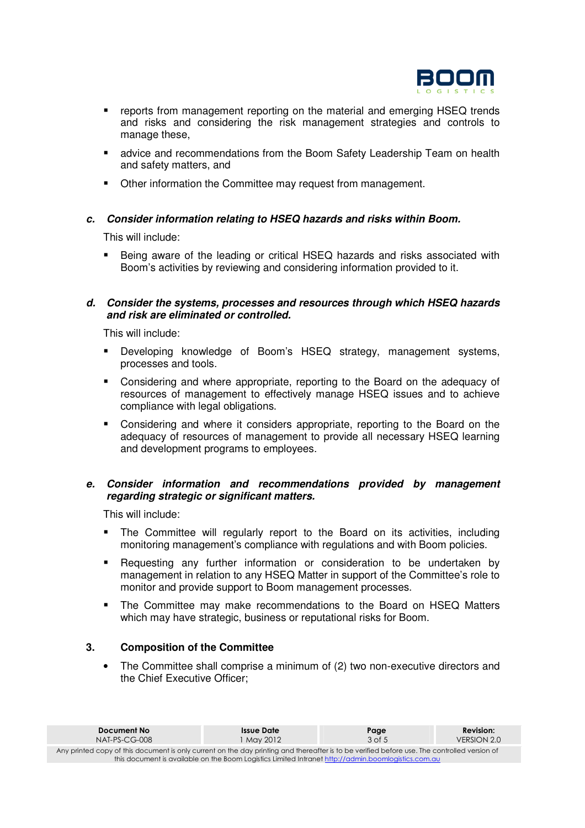

- **•** reports from management reporting on the material and emerging HSEQ trends and risks and considering the risk management strategies and controls to manage these,
- advice and recommendations from the Boom Safety Leadership Team on health and safety matters, and
- Other information the Committee may request from management.

# **c. Consider information relating to HSEQ hazards and risks within Boom.**

This will include:

 Being aware of the leading or critical HSEQ hazards and risks associated with Boom's activities by reviewing and considering information provided to it.

#### **d. Consider the systems, processes and resources through which HSEQ hazards and risk are eliminated or controlled.**

This will include:

- **Developing knowledge of Boom's HSEQ strategy, management systems,** processes and tools.
- **EX Considering and where appropriate, reporting to the Board on the adequacy of** resources of management to effectively manage HSEQ issues and to achieve compliance with legal obligations.
- Considering and where it considers appropriate, reporting to the Board on the adequacy of resources of management to provide all necessary HSEQ learning and development programs to employees.

# **e. Consider information and recommendations provided by management regarding strategic or significant matters.**

This will include:

- The Committee will regularly report to the Board on its activities, including monitoring management's compliance with regulations and with Boom policies.
- Requesting any further information or consideration to be undertaken by management in relation to any HSEQ Matter in support of the Committee's role to monitor and provide support to Boom management processes.
- The Committee may make recommendations to the Board on HSEQ Matters which may have strategic, business or reputational risks for Boom.

# **3. Composition of the Committee**

• The Committee shall comprise a minimum of (2) two non-executive directors and the Chief Executive Officer;

| Document No                                                                                                                                  | Issue Date | Page       | <b>Revision:</b> |  |  |
|----------------------------------------------------------------------------------------------------------------------------------------------|------------|------------|------------------|--|--|
| $NAT-PS-CG-008$                                                                                                                              | 1 Mav 2012 | $3$ of $5$ | VERSION 2.0      |  |  |
| Any printed copy of this document is only current on the day printing and thereafter is to be verified before use. The controlled version of |            |            |                  |  |  |
| this document is available on the Boom Logistics Limited Intranet http://admin.boomlogistics.com.au                                          |            |            |                  |  |  |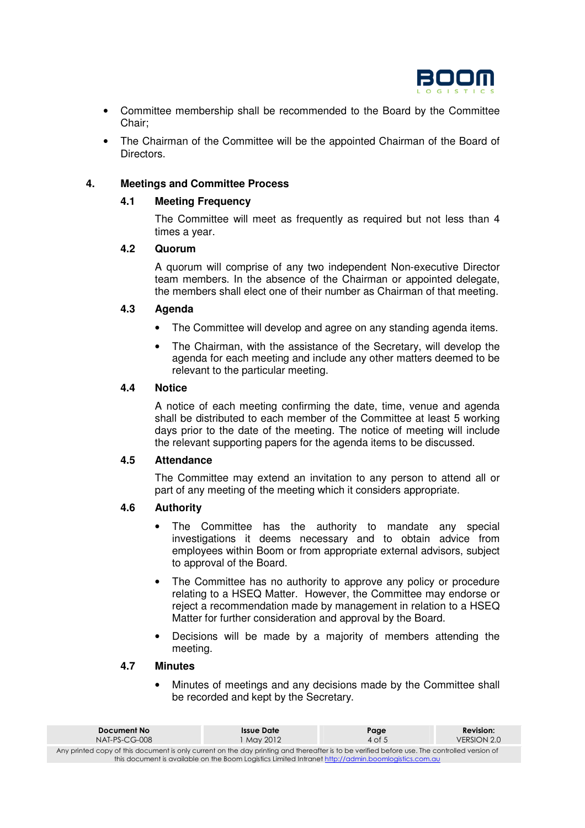

- Committee membership shall be recommended to the Board by the Committee Chair;
- The Chairman of the Committee will be the appointed Chairman of the Board of Directors.

# **4. Meetings and Committee Process**

#### **4.1 Meeting Frequency**

The Committee will meet as frequently as required but not less than 4 times a year.

#### **4.2 Quorum**

A quorum will comprise of any two independent Non-executive Director team members. In the absence of the Chairman or appointed delegate, the members shall elect one of their number as Chairman of that meeting.

# **4.3 Agenda**

- The Committee will develop and agree on any standing agenda items.
- The Chairman, with the assistance of the Secretary, will develop the agenda for each meeting and include any other matters deemed to be relevant to the particular meeting.

# **4.4 Notice**

A notice of each meeting confirming the date, time, venue and agenda shall be distributed to each member of the Committee at least 5 working days prior to the date of the meeting. The notice of meeting will include the relevant supporting papers for the agenda items to be discussed.

# **4.5 Attendance**

The Committee may extend an invitation to any person to attend all or part of any meeting of the meeting which it considers appropriate.

#### **4.6 Authority**

- The Committee has the authority to mandate any special investigations it deems necessary and to obtain advice from employees within Boom or from appropriate external advisors, subject to approval of the Board.
- The Committee has no authority to approve any policy or procedure relating to a HSEQ Matter. However, the Committee may endorse or reject a recommendation made by management in relation to a HSEQ Matter for further consideration and approval by the Board.
- Decisions will be made by a majority of members attending the meeting.

#### **4.7 Minutes**

• Minutes of meetings and any decisions made by the Committee shall be recorded and kept by the Secretary.

| Document No                                                                                                                                  | Issue Date | Page     | <b>Revision:</b> |  |  |
|----------------------------------------------------------------------------------------------------------------------------------------------|------------|----------|------------------|--|--|
| $NAI-PS-CG-008$                                                                                                                              | May 2012   | $4$ of 5 | VERSION 2.0      |  |  |
| Any printed copy of this document is only current on the day printing and thereafter is to be verified before use. The controlled version of |            |          |                  |  |  |
| this document is available on the Boom Logistics Limited Intranet http://admin.boomlogistics.com.au                                          |            |          |                  |  |  |